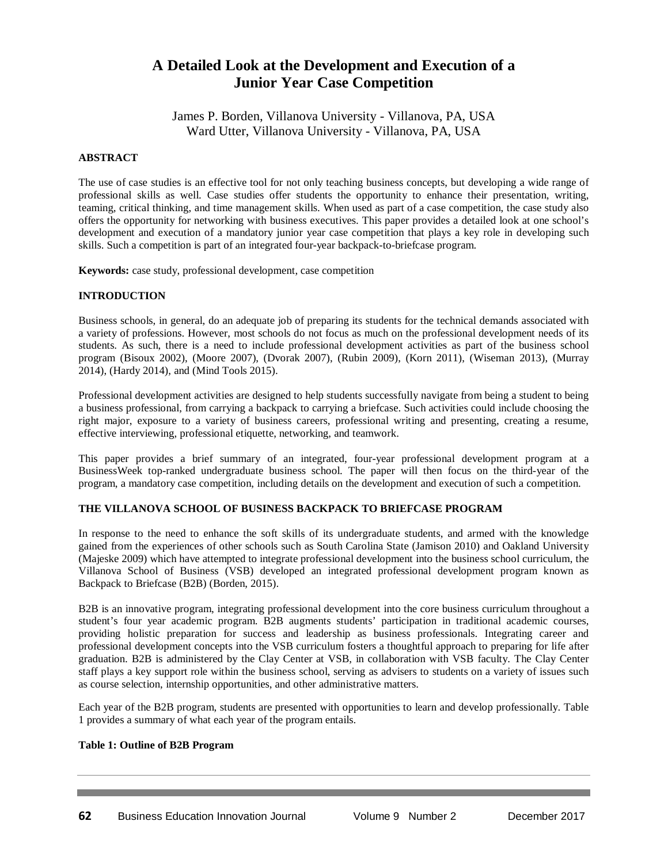# **A Detailed Look at the Development and Execution of a Junior Year Case Competition**

James P. Borden, Villanova University - Villanova, PA, USA Ward Utter, Villanova University - Villanova, PA, USA

## **ABSTRACT**

The use of case studies is an effective tool for not only teaching business concepts, but developing a wide range of professional skills as well. Case studies offer students the opportunity to enhance their presentation, writing, teaming, critical thinking, and time management skills. When used as part of a case competition, the case study also offers the opportunity for networking with business executives. This paper provides a detailed look at one school's development and execution of a mandatory junior year case competition that plays a key role in developing such skills. Such a competition is part of an integrated four-year backpack-to-briefcase program.

**Keywords:** case study, professional development, case competition

## **INTRODUCTION**

Business schools, in general, do an adequate job of preparing its students for the technical demands associated with a variety of professions. However, most schools do not focus as much on the professional development needs of its students. As such, there is a need to include professional development activities as part of the business school program (Bisoux 2002), (Moore 2007), (Dvorak 2007), (Rubin 2009), (Korn 2011), (Wiseman 2013), (Murray 2014), (Hardy 2014), and (Mind Tools 2015).

Professional development activities are designed to help students successfully navigate from being a student to being a business professional, from carrying a backpack to carrying a briefcase. Such activities could include choosing the right major, exposure to a variety of business careers, professional writing and presenting, creating a resume, effective interviewing, professional etiquette, networking, and teamwork.

This paper provides a brief summary of an integrated, four-year professional development program at a BusinessWeek top-ranked undergraduate business school. The paper will then focus on the third-year of the program, a mandatory case competition, including details on the development and execution of such a competition.

## **THE VILLANOVA SCHOOL OF BUSINESS BACKPACK TO BRIEFCASE PROGRAM**

In response to the need to enhance the soft skills of its undergraduate students, and armed with the knowledge gained from the experiences of other schools such as South Carolina State (Jamison 2010) and Oakland University (Majeske 2009) which have attempted to integrate professional development into the business school curriculum, the Villanova School of Business (VSB) developed an integrated professional development program known as Backpack to Briefcase (B2B) (Borden, 2015).

B2B is an innovative program, integrating professional development into the core business curriculum throughout a student's four year academic program. B2B augments students' participation in traditional academic courses, providing holistic preparation for success and leadership as business professionals. Integrating career and professional development concepts into the VSB curriculum fosters a thoughtful approach to preparing for life after graduation. B2B is administered by the Clay Center at VSB, in collaboration with VSB faculty. The Clay Center staff plays a key support role within the business school, serving as advisers to students on a variety of issues such as course selection, internship opportunities, and other administrative matters.

Each year of the B2B program, students are presented with opportunities to learn and develop professionally. Table 1 provides a summary of what each year of the program entails.

## **Table 1: Outline of B2B Program**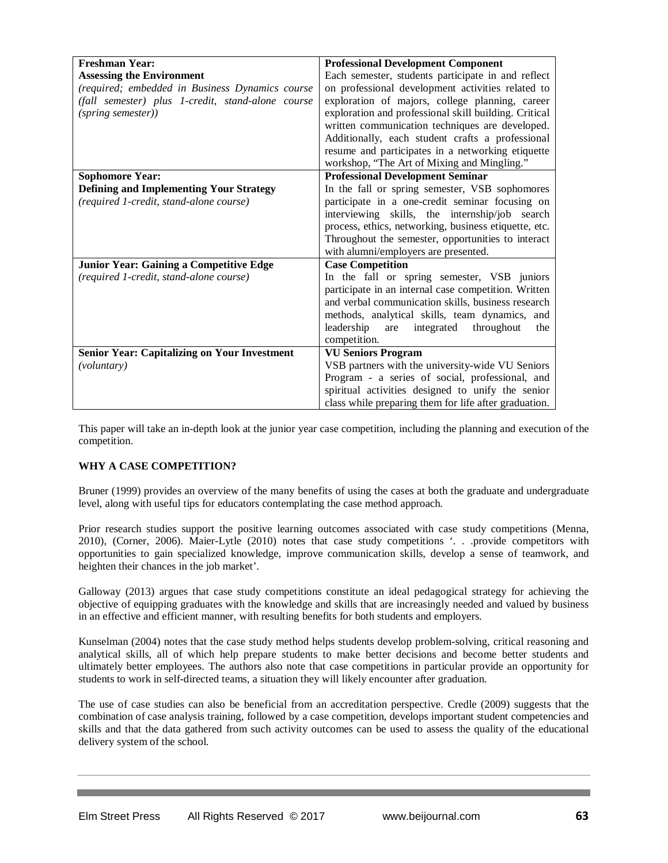| <b>Freshman Year:</b>                               | <b>Professional Development Component</b>             |  |  |  |
|-----------------------------------------------------|-------------------------------------------------------|--|--|--|
| <b>Assessing the Environment</b>                    | Each semester, students participate in and reflect    |  |  |  |
| (required; embedded in Business Dynamics course     | on professional development activities related to     |  |  |  |
| (fall semester) plus 1-credit, stand-alone course   | exploration of majors, college planning, career       |  |  |  |
| (spring semester))                                  | exploration and professional skill building. Critical |  |  |  |
|                                                     | written communication techniques are developed.       |  |  |  |
|                                                     | Additionally, each student crafts a professional      |  |  |  |
|                                                     | resume and participates in a networking etiquette     |  |  |  |
|                                                     | workshop, "The Art of Mixing and Mingling."           |  |  |  |
| <b>Sophomore Year:</b>                              | <b>Professional Development Seminar</b>               |  |  |  |
| <b>Defining and Implementing Your Strategy</b>      | In the fall or spring semester, VSB sophomores        |  |  |  |
| (required 1-credit, stand-alone course)             | participate in a one-credit seminar focusing on       |  |  |  |
|                                                     | interviewing skills, the internship/job search        |  |  |  |
|                                                     | process, ethics, networking, business etiquette, etc. |  |  |  |
|                                                     | Throughout the semester, opportunities to interact    |  |  |  |
|                                                     | with alumni/employers are presented.                  |  |  |  |
| <b>Junior Year: Gaining a Competitive Edge</b>      | <b>Case Competition</b>                               |  |  |  |
| (required 1-credit, stand-alone course)             | In the fall or spring semester, VSB juniors           |  |  |  |
|                                                     | participate in an internal case competition. Written  |  |  |  |
|                                                     | and verbal communication skills, business research    |  |  |  |
|                                                     | methods, analytical skills, team dynamics, and        |  |  |  |
|                                                     | leadership<br>integrated<br>throughout<br>are<br>the  |  |  |  |
|                                                     | competition.                                          |  |  |  |
| <b>Senior Year: Capitalizing on Your Investment</b> | <b>VU Seniors Program</b>                             |  |  |  |
| <i>(voluntary)</i>                                  | VSB partners with the university-wide VU Seniors      |  |  |  |
|                                                     | Program - a series of social, professional, and       |  |  |  |
|                                                     | spiritual activities designed to unify the senior     |  |  |  |
|                                                     | class while preparing them for life after graduation. |  |  |  |

This paper will take an in-depth look at the junior year case competition, including the planning and execution of the competition.

## **WHY A CASE COMPETITION?**

Bruner (1999) provides an overview of the many benefits of using the cases at both the graduate and undergraduate level, along with useful tips for educators contemplating the case method approach.

Prior research studies support the positive learning outcomes associated with case study competitions (Menna, 2010), (Corner, 2006). Maier-Lytle (2010) notes that case study competitions '. . .provide competitors with opportunities to gain specialized knowledge, improve communication skills, develop a sense of teamwork, and heighten their chances in the job market'.

Galloway (2013) argues that case study competitions constitute an ideal pedagogical strategy for achieving the objective of equipping graduates with the knowledge and skills that are increasingly needed and valued by business in an effective and efficient manner, with resulting benefits for both students and employers.

Kunselman (2004) notes that the case study method helps students develop problem-solving, critical reasoning and analytical skills, all of which help prepare students to make better decisions and become better students and ultimately better employees. The authors also note that case competitions in particular provide an opportunity for students to work in self-directed teams, a situation they will likely encounter after graduation.

The use of case studies can also be beneficial from an accreditation perspective. Credle (2009) suggests that the combination of case analysis training, followed by a case competition, develops important student competencies and skills and that the data gathered from such activity outcomes can be used to assess the quality of the educational delivery system of the school.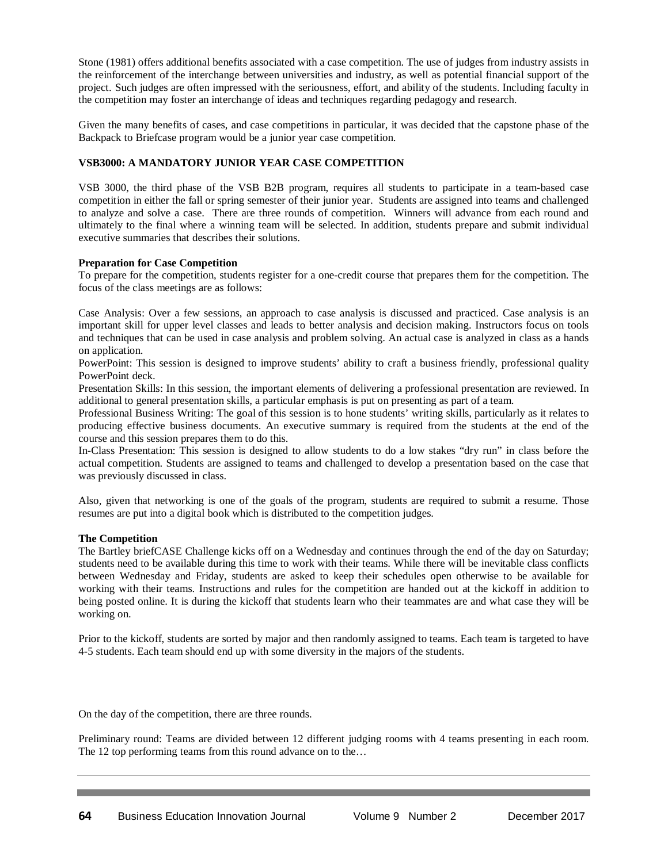Stone (1981) offers additional benefits associated with a case competition. The use of judges from industry assists in the reinforcement of the interchange between universities and industry, as well as potential financial support of the project. Such judges are often impressed with the seriousness, effort, and ability of the students. Including faculty in the competition may foster an interchange of ideas and techniques regarding pedagogy and research.

Given the many benefits of cases, and case competitions in particular, it was decided that the capstone phase of the Backpack to Briefcase program would be a junior year case competition.

## **VSB3000: A MANDATORY JUNIOR YEAR CASE COMPETITION**

VSB 3000, the third phase of the VSB B2B program, requires all students to participate in a team-based case competition in either the fall or spring semester of their junior year. Students are assigned into teams and challenged to analyze and solve a case. There are three rounds of competition. Winners will advance from each round and ultimately to the final where a winning team will be selected. In addition, students prepare and submit individual executive summaries that describes their solutions.

## **Preparation for Case Competition**

To prepare for the competition, students register for a one-credit course that prepares them for the competition. The focus of the class meetings are as follows:

Case Analysis: Over a few sessions, an approach to case analysis is discussed and practiced. Case analysis is an important skill for upper level classes and leads to better analysis and decision making. Instructors focus on tools and techniques that can be used in case analysis and problem solving. An actual case is analyzed in class as a hands on application.

PowerPoint: This session is designed to improve students' ability to craft a business friendly, professional quality PowerPoint deck.

Presentation Skills: In this session, the important elements of delivering a professional presentation are reviewed. In additional to general presentation skills, a particular emphasis is put on presenting as part of a team.

Professional Business Writing: The goal of this session is to hone students' writing skills, particularly as it relates to producing effective business documents. An executive summary is required from the students at the end of the course and this session prepares them to do this.

In-Class Presentation: This session is designed to allow students to do a low stakes "dry run" in class before the actual competition. Students are assigned to teams and challenged to develop a presentation based on the case that was previously discussed in class.

Also, given that networking is one of the goals of the program, students are required to submit a resume. Those resumes are put into a digital book which is distributed to the competition judges.

## **The Competition**

The Bartley briefCASE Challenge kicks off on a Wednesday and continues through the end of the day on Saturday; students need to be available during this time to work with their teams. While there will be inevitable class conflicts between Wednesday and Friday, students are asked to keep their schedules open otherwise to be available for working with their teams. Instructions and rules for the competition are handed out at the kickoff in addition to being posted online. It is during the kickoff that students learn who their teammates are and what case they will be working on.

Prior to the kickoff, students are sorted by major and then randomly assigned to teams. Each team is targeted to have 4-5 students. Each team should end up with some diversity in the majors of the students.

On the day of the competition, there are three rounds.

Preliminary round: Teams are divided between 12 different judging rooms with 4 teams presenting in each room. The 12 top performing teams from this round advance on to the...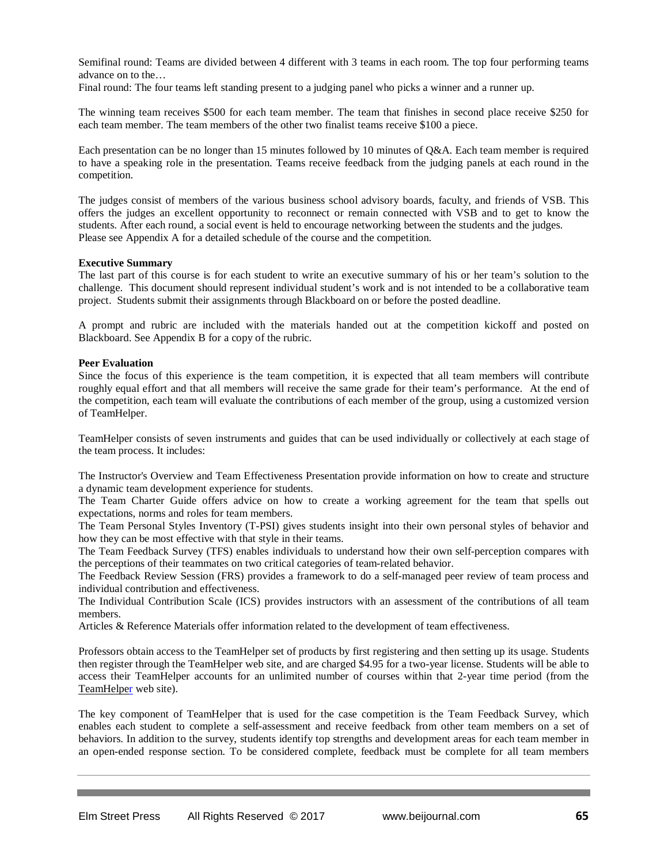Semifinal round: Teams are divided between 4 different with 3 teams in each room. The top four performing teams advance on to the…

Final round: The four teams left standing present to a judging panel who picks a winner and a runner up.

The winning team receives \$500 for each team member. The team that finishes in second place receive \$250 for each team member. The team members of the other two finalist teams receive \$100 a piece.

Each presentation can be no longer than 15 minutes followed by 10 minutes of Q&A. Each team member is required to have a speaking role in the presentation. Teams receive feedback from the judging panels at each round in the competition.

The judges consist of members of the various business school advisory boards, faculty, and friends of VSB. This offers the judges an excellent opportunity to reconnect or remain connected with VSB and to get to know the students. After each round, a social event is held to encourage networking between the students and the judges. Please see Appendix A for a detailed schedule of the course and the competition.

#### **Executive Summary**

The last part of this course is for each student to write an executive summary of his or her team's solution to the challenge. This document should represent individual student's work and is not intended to be a collaborative team project. Students submit their assignments through Blackboard on or before the posted deadline.

A prompt and rubric are included with the materials handed out at the competition kickoff and posted on Blackboard. See Appendix B for a copy of the rubric.

#### **Peer Evaluation**

Since the focus of this experience is the team competition, it is expected that all team members will contribute roughly equal effort and that all members will receive the same grade for their team's performance. At the end of the competition, each team will evaluate the contributions of each member of the group, using a customized version of TeamHelper.

TeamHelper consists of seven instruments and guides that can be used individually or collectively at each stage of the team process. It includes:

The Instructor's Overview and Team Effectiveness Presentation provide information on how to create and structure a dynamic team development experience for students.

The Team Charter Guide offers advice on how to create a working agreement for the team that spells out expectations, norms and roles for team members.

The Team Personal Styles Inventory (T-PSI) gives students insight into their own personal styles of behavior and how they can be most effective with that style in their teams.

The Team Feedback Survey (TFS) enables individuals to understand how their own self-perception compares with the perceptions of their teammates on two critical categories of team-related behavior.

The Feedback Review Session (FRS) provides a framework to do a self-managed peer review of team process and individual contribution and effectiveness.

The Individual Contribution Scale (ICS) provides instructors with an assessment of the contributions of all team members.

Articles & Reference Materials offer information related to the development of team effectiveness.

Professors obtain access to the TeamHelper set of products by first registering and then setting up its usage. Students then register through the TeamHelper web site, and are charged \$4.95 for a two-year license. Students will be able to access their TeamHelper accounts for an unlimited number of courses within that 2-year time period (from the [TeamHelper](https://www.teamhelper.com/index.cfm?fuseaction=showTFS) web site).

The key component of TeamHelper that is used for the case competition is the Team Feedback Survey, which enables each student to complete a self-assessment and receive feedback from other team members on a set of behaviors. In addition to the survey, students identify top strengths and development areas for each team member in an open-ended response section. To be considered complete, feedback must be complete for all team members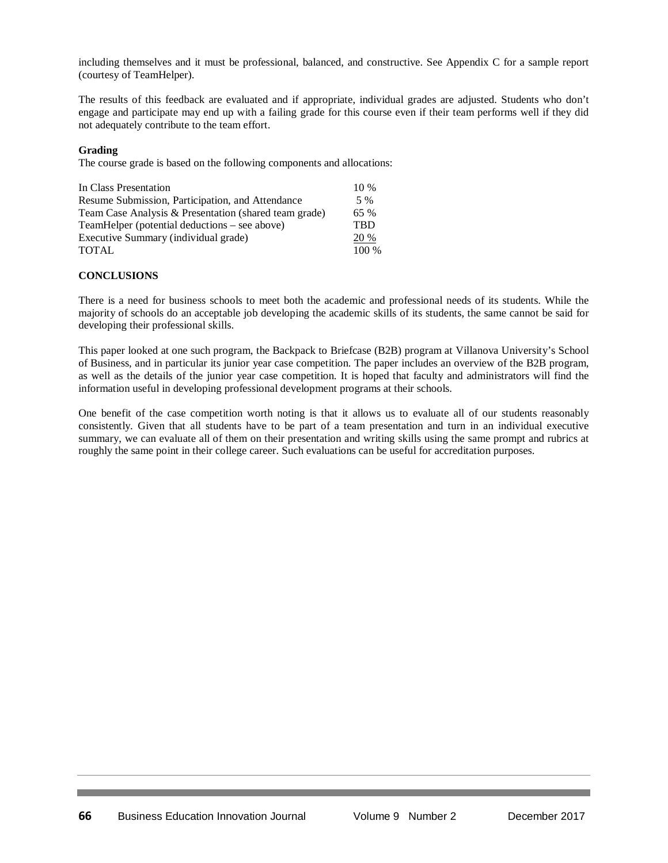including themselves and it must be professional, balanced, and constructive. See Appendix C for a sample report (courtesy of TeamHelper).

The results of this feedback are evaluated and if appropriate, individual grades are adjusted. Students who don't engage and participate may end up with a failing grade for this course even if their team performs well if they did not adequately contribute to the team effort.

## **Grading**

The course grade is based on the following components and allocations:

| In Class Presentation                                 | $10\%$     |
|-------------------------------------------------------|------------|
| Resume Submission, Participation, and Attendance      | 5 %        |
| Team Case Analysis & Presentation (shared team grade) | 65 %       |
| TeamHelper (potential deductions – see above)         | <b>TBD</b> |
| Executive Summary (individual grade)                  | 20 %       |
| <b>TOTAL</b>                                          | $100\%$    |

## **CONCLUSIONS**

There is a need for business schools to meet both the academic and professional needs of its students. While the majority of schools do an acceptable job developing the academic skills of its students, the same cannot be said for developing their professional skills.

This paper looked at one such program, the Backpack to Briefcase (B2B) program at Villanova University's School of Business, and in particular its junior year case competition. The paper includes an overview of the B2B program, as well as the details of the junior year case competition. It is hoped that faculty and administrators will find the information useful in developing professional development programs at their schools.

One benefit of the case competition worth noting is that it allows us to evaluate all of our students reasonably consistently. Given that all students have to be part of a team presentation and turn in an individual executive summary, we can evaluate all of them on their presentation and writing skills using the same prompt and rubrics at roughly the same point in their college career. Such evaluations can be useful for accreditation purposes.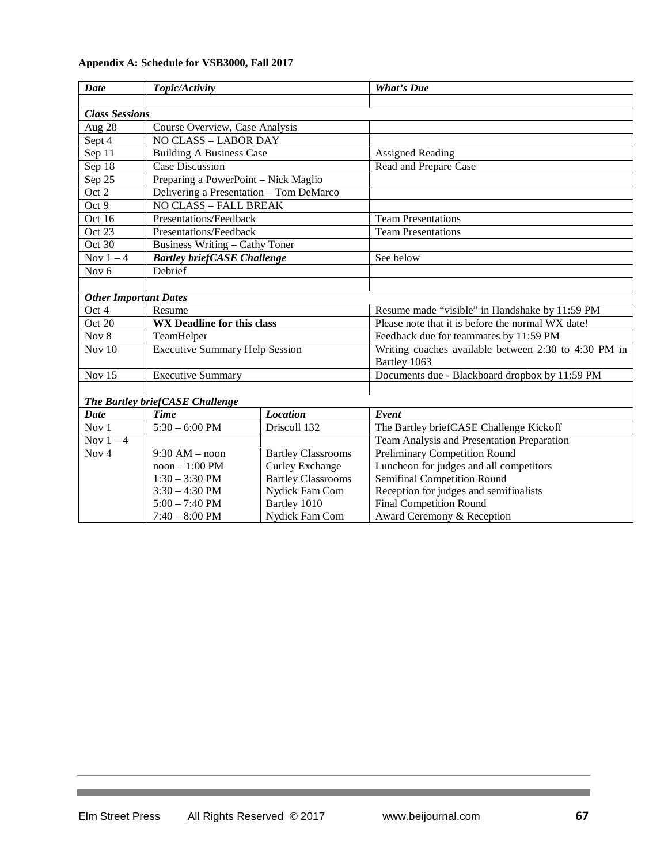| Date                         | Topic/Activity                          |                           | <b>What's Due</b>                                                    |  |  |
|------------------------------|-----------------------------------------|---------------------------|----------------------------------------------------------------------|--|--|
|                              |                                         |                           |                                                                      |  |  |
| <b>Class Sessions</b>        |                                         |                           |                                                                      |  |  |
| Aug 28                       | Course Overview, Case Analysis          |                           |                                                                      |  |  |
| Sept 4                       | <b>NO CLASS - LABOR DAY</b>             |                           |                                                                      |  |  |
| Sep 11                       | <b>Building A Business Case</b>         |                           | <b>Assigned Reading</b>                                              |  |  |
| Sep 18                       | <b>Case Discussion</b>                  |                           | Read and Prepare Case                                                |  |  |
| Sep 25                       | Preparing a PowerPoint - Nick Maglio    |                           |                                                                      |  |  |
| Oct 2                        | Delivering a Presentation - Tom DeMarco |                           |                                                                      |  |  |
| Oct 9                        | <b>NO CLASS - FALL BREAK</b>            |                           |                                                                      |  |  |
| Oct 16                       | Presentations/Feedback                  |                           | <b>Team Presentations</b>                                            |  |  |
| Oct 23                       | Presentations/Feedback                  |                           | <b>Team Presentations</b>                                            |  |  |
| Oct 30                       | <b>Business Writing - Cathy Toner</b>   |                           |                                                                      |  |  |
| Nov $1-4$                    | <b>Bartley briefCASE Challenge</b>      |                           | See below                                                            |  |  |
| Nov <sub>6</sub>             | Debrief                                 |                           |                                                                      |  |  |
|                              |                                         |                           |                                                                      |  |  |
| <b>Other Important Dates</b> |                                         |                           |                                                                      |  |  |
| Oct 4                        | Resume                                  |                           | Resume made "visible" in Handshake by 11:59 PM                       |  |  |
| Oct 20                       | <b>WX Deadline for this class</b>       |                           | Please note that it is before the normal WX date!                    |  |  |
| Nov 8                        | TeamHelper                              |                           | Feedback due for teammates by 11:59 PM                               |  |  |
| Nov $10$                     | <b>Executive Summary Help Session</b>   |                           | Writing coaches available between 2:30 to 4:30 PM in<br>Bartley 1063 |  |  |
| Nov 15                       | <b>Executive Summary</b>                |                           | Documents due - Blackboard dropbox by 11:59 PM                       |  |  |
|                              |                                         |                           |                                                                      |  |  |
|                              | The Bartley briefCASE Challenge         |                           |                                                                      |  |  |
| <b>Date</b>                  | <b>Time</b>                             | <b>Location</b>           | Event                                                                |  |  |
| Nov <sub>1</sub>             | $5:30 - 6:00$ PM                        | Driscoll 132              | The Bartley briefCASE Challenge Kickoff                              |  |  |
| Nov $1-4$                    |                                         |                           | Team Analysis and Presentation Preparation                           |  |  |
| Nov <sub>4</sub>             | $9:30$ AM – noon                        | <b>Bartley Classrooms</b> | <b>Preliminary Competition Round</b>                                 |  |  |
|                              | $noon - 1:00 PM$                        | <b>Curley Exchange</b>    | Luncheon for judges and all competitors                              |  |  |
|                              | $1:30 - 3:30$ PM                        | <b>Bartley Classrooms</b> | Semifinal Competition Round                                          |  |  |
|                              | $3:30 - 4:30$ PM                        | Nydick Fam Com            | Reception for judges and semifinalists                               |  |  |
|                              | $5:00 - 7:40 \text{ PM}$                | Bartley 1010              | <b>Final Competition Round</b>                                       |  |  |
|                              | $7:40 - 8:00$ PM                        | Nydick Fam Com            | Award Ceremony & Reception                                           |  |  |

# **Appendix A: Schedule for VSB3000, Fall 2017**

and the control of the control of

a sa kacamatan ing Kabupatèn Kabupatèn Kabupatèn Kabupatèn Kabupatèn Kabupatèn Kabupatèn Kabupatèn Kabupatèn K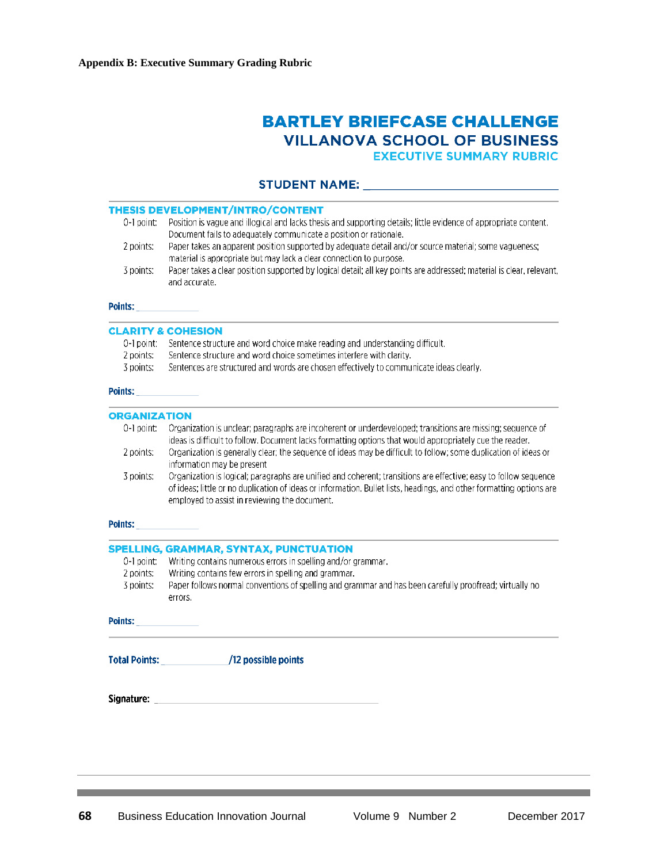# **BARTLEY BRIEFCASE CHALLENGE VILLANOVA SCHOOL OF BUSINESS EXECUTIVE SUMMARY RUBRIC**

## 

|                        | THESIS DEVELOPMENT/INTRO/CONTENT                                                                                                                                                                                                                                                          |  |  |  |  |  |
|------------------------|-------------------------------------------------------------------------------------------------------------------------------------------------------------------------------------------------------------------------------------------------------------------------------------------|--|--|--|--|--|
| 0-1 point:             | Position is vague and illogical and lacks thesis and supporting details; little evidence of appropriate content.<br>Document fails to adequately communicate a position or rationale.                                                                                                     |  |  |  |  |  |
| 2 points:              | Paper takes an apparent position supported by adequate detail and/or source material; some vagueness;<br>material is appropriate but may lack a clear connection to purpose.                                                                                                              |  |  |  |  |  |
| 3 points:              | Paper takes a clear position supported by logical detail; all key points are addressed; material is clear, relevant,<br>and accurate.                                                                                                                                                     |  |  |  |  |  |
| Points:                |                                                                                                                                                                                                                                                                                           |  |  |  |  |  |
|                        | <b>CLARITY &amp; COHESION</b>                                                                                                                                                                                                                                                             |  |  |  |  |  |
|                        | 0-1 point: Sentence structure and word choice make reading and understanding difficult.                                                                                                                                                                                                   |  |  |  |  |  |
| 2 points:              | Sentence structure and word choice sometimes interfere with clarity.                                                                                                                                                                                                                      |  |  |  |  |  |
| 3 points:              | Sentences are structured and words are chosen effectively to communicate ideas clearly.                                                                                                                                                                                                   |  |  |  |  |  |
| <b>Points:</b> Points: |                                                                                                                                                                                                                                                                                           |  |  |  |  |  |
| <b>ORGANIZATION</b>    |                                                                                                                                                                                                                                                                                           |  |  |  |  |  |
| 0-1 point.             | Organization is unclear; paragraphs are incoherent or underdeveloped; transitions are missing; sequence of<br>ideas is difficult to follow. Document lacks formatting options that would appropriately cue the reader.                                                                    |  |  |  |  |  |
| 2 points:              | Organization is generally clear; the sequence of ideas may be difficult to follow; some duplication of ideas or<br>information may be present                                                                                                                                             |  |  |  |  |  |
| 3 points:              | Organization is logical; paragraphs are unified and coherent; transitions are effective; easy to follow sequence<br>of ideas; little or no duplication of ideas or information. Bullet lists, headings, and other formatting options are<br>employed to assist in reviewing the document. |  |  |  |  |  |
| <b>Points:</b> Points: |                                                                                                                                                                                                                                                                                           |  |  |  |  |  |
|                        | SPELLING, GRAMMAR, SYNTAX, PUNCTUATION                                                                                                                                                                                                                                                    |  |  |  |  |  |
| 0-1 point:             | Writing contains numerous errors in spelling and/or grammar.                                                                                                                                                                                                                              |  |  |  |  |  |
| 2 points:              | Writing contains few errors in spelling and grammar.                                                                                                                                                                                                                                      |  |  |  |  |  |
| 3 points:              | Paper follows normal conventions of spelling and grammar and has been carefully proofread; virtually no<br>errors.                                                                                                                                                                        |  |  |  |  |  |
| <b>Points:</b>         |                                                                                                                                                                                                                                                                                           |  |  |  |  |  |
|                        | Total Points: /12 possible points                                                                                                                                                                                                                                                         |  |  |  |  |  |
|                        | Signature: with a state of the state of the state of the state of the state of the state of the state of the s                                                                                                                                                                            |  |  |  |  |  |
|                        |                                                                                                                                                                                                                                                                                           |  |  |  |  |  |
|                        |                                                                                                                                                                                                                                                                                           |  |  |  |  |  |

,我们也不会有什么。""我们的人,我们也不会有什么?""我们的人,我们也不会有什么?""我们的人,我们也不会有什么?""我们的人,我们也不会有什么?""我们的人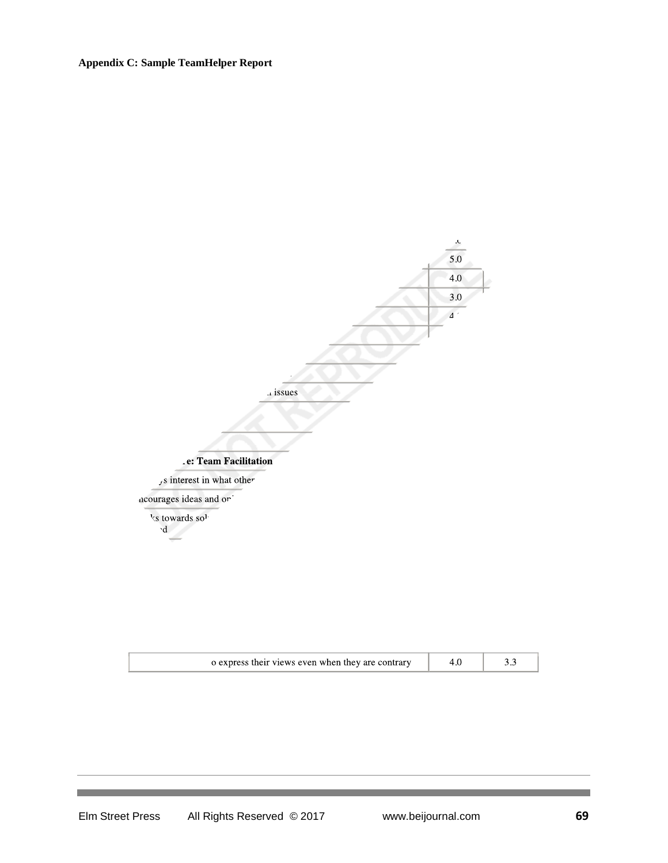# **Appendix C: Sample TeamHelper Report**



| b express their views even when they are contrary |  |
|---------------------------------------------------|--|
|                                                   |  |